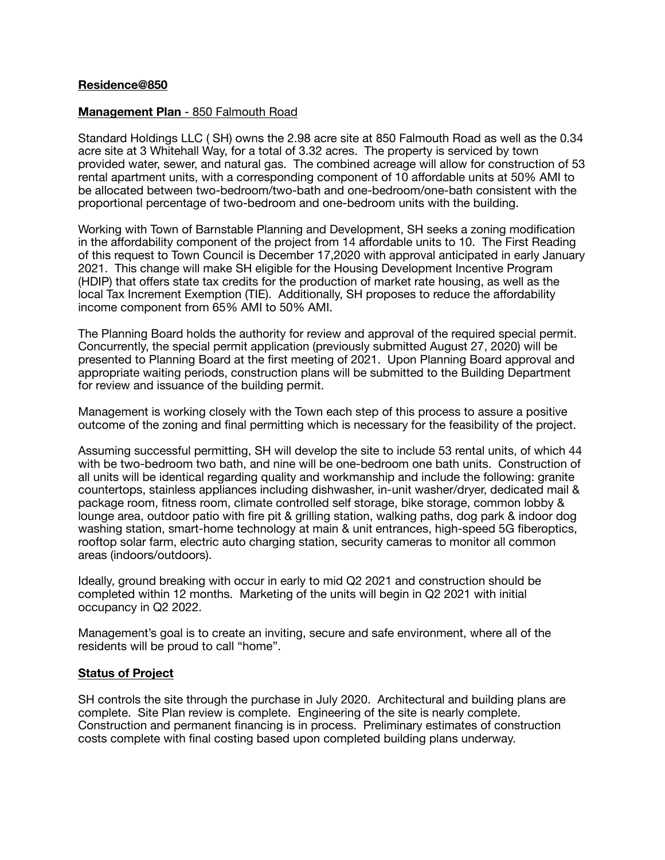## **Residence@850**

### **Management Plan** - 850 Falmouth Road

Standard Holdings LLC ( SH) owns the 2.98 acre site at 850 Falmouth Road as well as the 0.34 acre site at 3 Whitehall Way, for a total of 3.32 acres. The property is serviced by town provided water, sewer, and natural gas. The combined acreage will allow for construction of 53 rental apartment units, with a corresponding component of 10 affordable units at 50% AMI to be allocated between two-bedroom/two-bath and one-bedroom/one-bath consistent with the proportional percentage of two-bedroom and one-bedroom units with the building.

Working with Town of Barnstable Planning and Development, SH seeks a zoning modification in the affordability component of the project from 14 affordable units to 10. The First Reading of this request to Town Council is December 17,2020 with approval anticipated in early January 2021. This change will make SH eligible for the Housing Development Incentive Program (HDIP) that offers state tax credits for the production of market rate housing, as well as the local Tax Increment Exemption (TIE). Additionally, SH proposes to reduce the affordability income component from 65% AMI to 50% AMI.

The Planning Board holds the authority for review and approval of the required special permit. Concurrently, the special permit application (previously submitted August 27, 2020) will be presented to Planning Board at the first meeting of 2021. Upon Planning Board approval and appropriate waiting periods, construction plans will be submitted to the Building Department for review and issuance of the building permit.

Management is working closely with the Town each step of this process to assure a positive outcome of the zoning and final permitting which is necessary for the feasibility of the project.

Assuming successful permitting, SH will develop the site to include 53 rental units, of which 44 with be two-bedroom two bath, and nine will be one-bedroom one bath units. Construction of all units will be identical regarding quality and workmanship and include the following: granite countertops, stainless appliances including dishwasher, in-unit washer/dryer, dedicated mail & package room, fitness room, climate controlled self storage, bike storage, common lobby & lounge area, outdoor patio with fire pit & grilling station, walking paths, dog park & indoor dog washing station, smart-home technology at main & unit entrances, high-speed 5G fiberoptics, rooftop solar farm, electric auto charging station, security cameras to monitor all common areas (indoors/outdoors).

Ideally, ground breaking with occur in early to mid Q2 2021 and construction should be completed within 12 months. Marketing of the units will begin in Q2 2021 with initial occupancy in Q2 2022.

Management's goal is to create an inviting, secure and safe environment, where all of the residents will be proud to call "home".

# **Status of Project**

SH controls the site through the purchase in July 2020. Architectural and building plans are complete. Site Plan review is complete. Engineering of the site is nearly complete. Construction and permanent financing is in process. Preliminary estimates of construction costs complete with final costing based upon completed building plans underway.